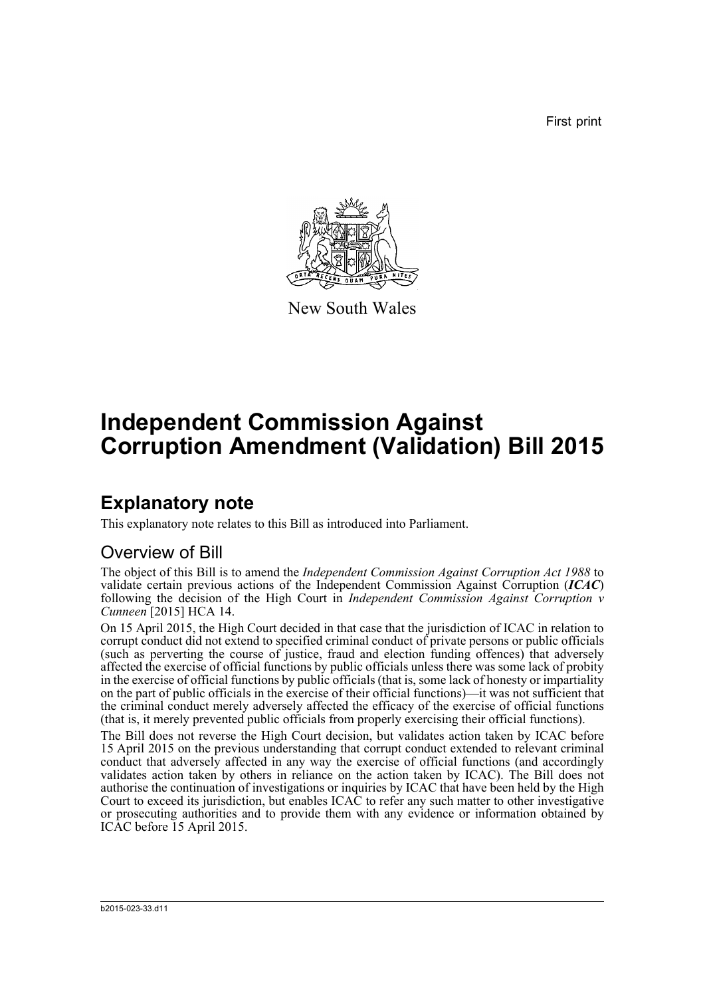First print



New South Wales

# **Independent Commission Against Corruption Amendment (Validation) Bill 2015**

## **Explanatory note**

This explanatory note relates to this Bill as introduced into Parliament.

### Overview of Bill

The object of this Bill is to amend the *Independent Commission Against Corruption Act 1988* to validate certain previous actions of the Independent Commission Against Corruption (*ICAC*) following the decision of the High Court in *Independent Commission Against Corruption v Cunneen* [2015] HCA 14.

On 15 April 2015, the High Court decided in that case that the jurisdiction of ICAC in relation to corrupt conduct did not extend to specified criminal conduct of private persons or public officials (such as perverting the course of justice, fraud and election funding offences) that adversely affected the exercise of official functions by public officials unless there was some lack of probity in the exercise of official functions by public officials (that is, some lack of honesty or impartiality on the part of public officials in the exercise of their official functions)—it was not sufficient that the criminal conduct merely adversely affected the efficacy of the exercise of official functions (that is, it merely prevented public officials from properly exercising their official functions).

The Bill does not reverse the High Court decision, but validates action taken by ICAC before 15 April 2015 on the previous understanding that corrupt conduct extended to relevant criminal conduct that adversely affected in any way the exercise of official functions (and accordingly validates action taken by others in reliance on the action taken by ICAC). The Bill does not authorise the continuation of investigations or inquiries by ICAC that have been held by the High Court to exceed its jurisdiction, but enables ICAC to refer any such matter to other investigative or prosecuting authorities and to provide them with any evidence or information obtained by ICAC before 15 April 2015.

b2015-023-33.d11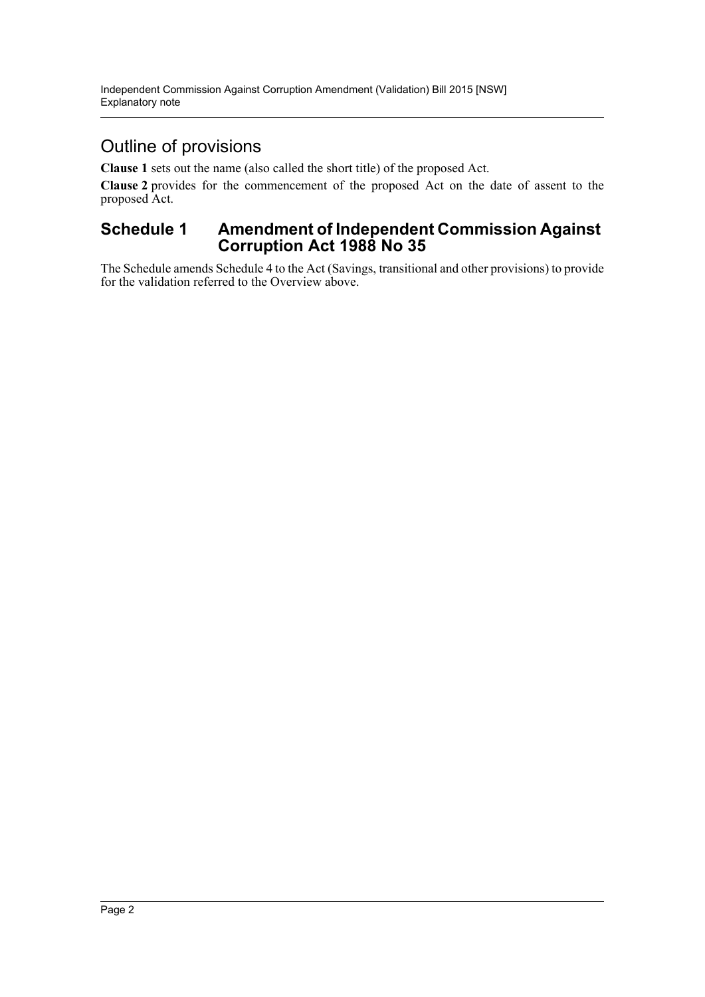### Outline of provisions

**Clause 1** sets out the name (also called the short title) of the proposed Act.

**Clause 2** provides for the commencement of the proposed Act on the date of assent to the proposed Act.

#### **Schedule 1 Amendment of Independent Commission Against Corruption Act 1988 No 35**

The Schedule amends Schedule 4 to the Act (Savings, transitional and other provisions) to provide for the validation referred to the Overview above.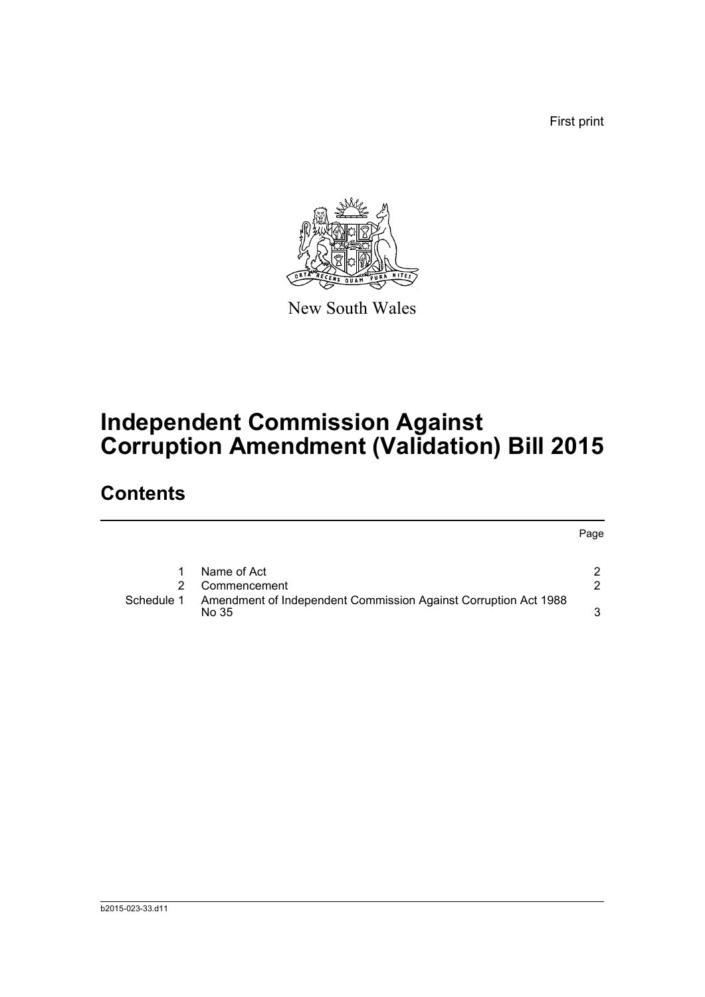First print



New South Wales

# **Independent Commission Against Corruption Amendment (Validation) Bill 2015**

## **Contents**

|            |                                                                          | Page |
|------------|--------------------------------------------------------------------------|------|
|            | Name of Act                                                              |      |
|            | Commencement                                                             | 2    |
| Schedule 1 | Amendment of Independent Commission Against Corruption Act 1988<br>No 35 |      |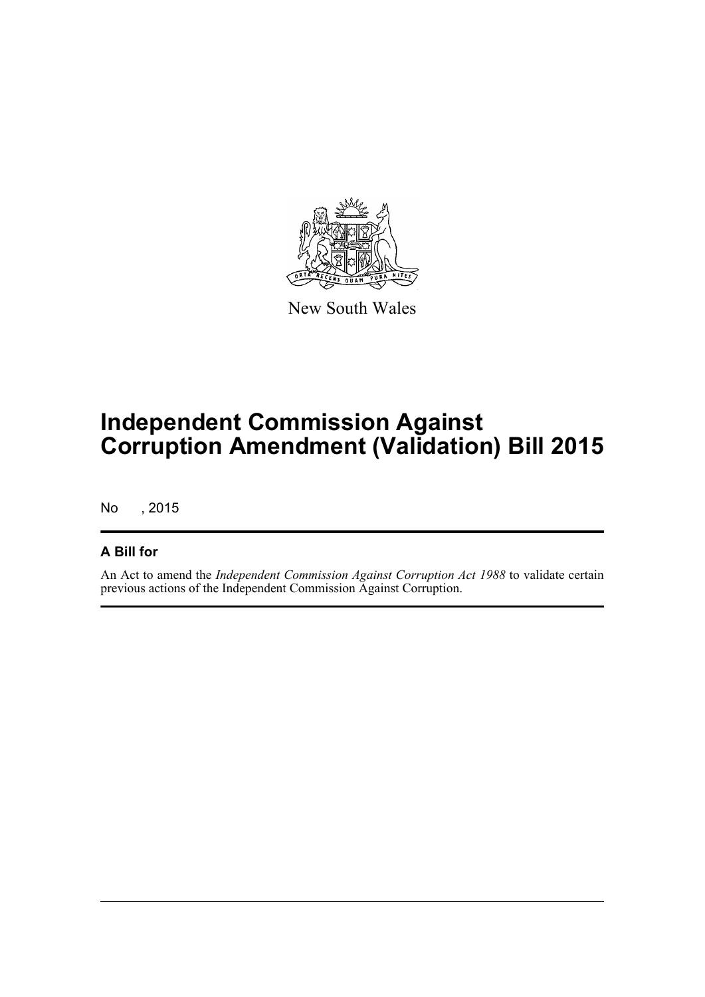

New South Wales

# **Independent Commission Against Corruption Amendment (Validation) Bill 2015**

No , 2015

#### **A Bill for**

An Act to amend the *Independent Commission Against Corruption Act 1988* to validate certain previous actions of the Independent Commission Against Corruption.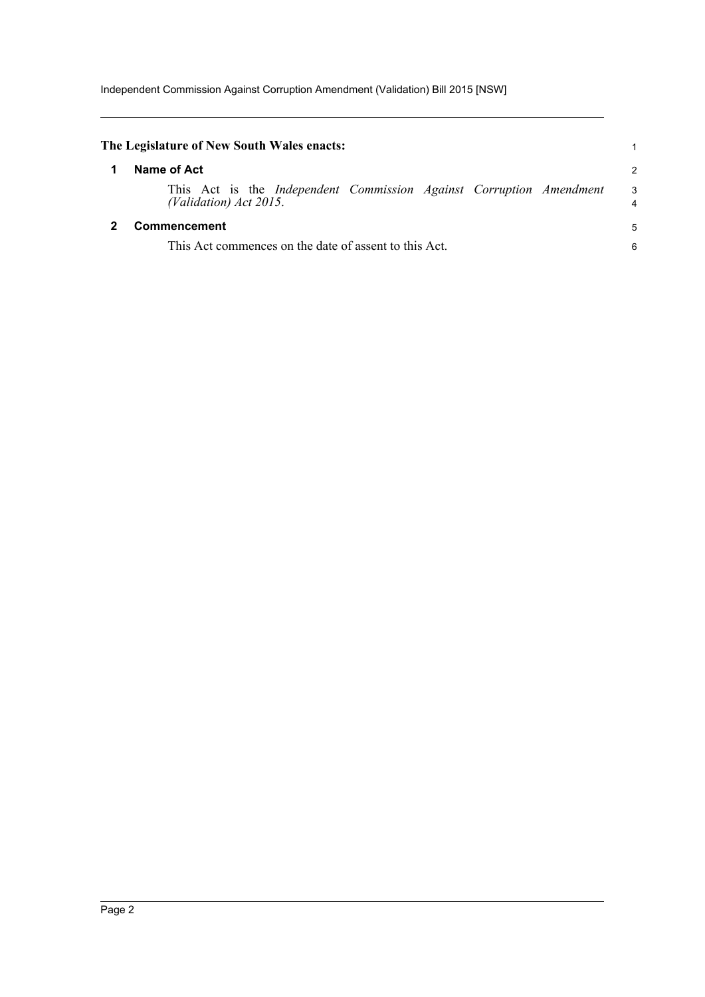<span id="page-4-1"></span><span id="page-4-0"></span>

|                                                                       | The Legislature of New South Wales enacts:                                                    |                     |  |  |
|-----------------------------------------------------------------------|-----------------------------------------------------------------------------------------------|---------------------|--|--|
|                                                                       | Name of Act                                                                                   | $\overline{c}$      |  |  |
|                                                                       | This Act is the Independent Commission Against Corruption Amendment<br>(Validation) Act 2015. | 3<br>$\overline{4}$ |  |  |
| Commencement<br>This Act commences on the date of assent to this Act. |                                                                                               |                     |  |  |
|                                                                       |                                                                                               |                     |  |  |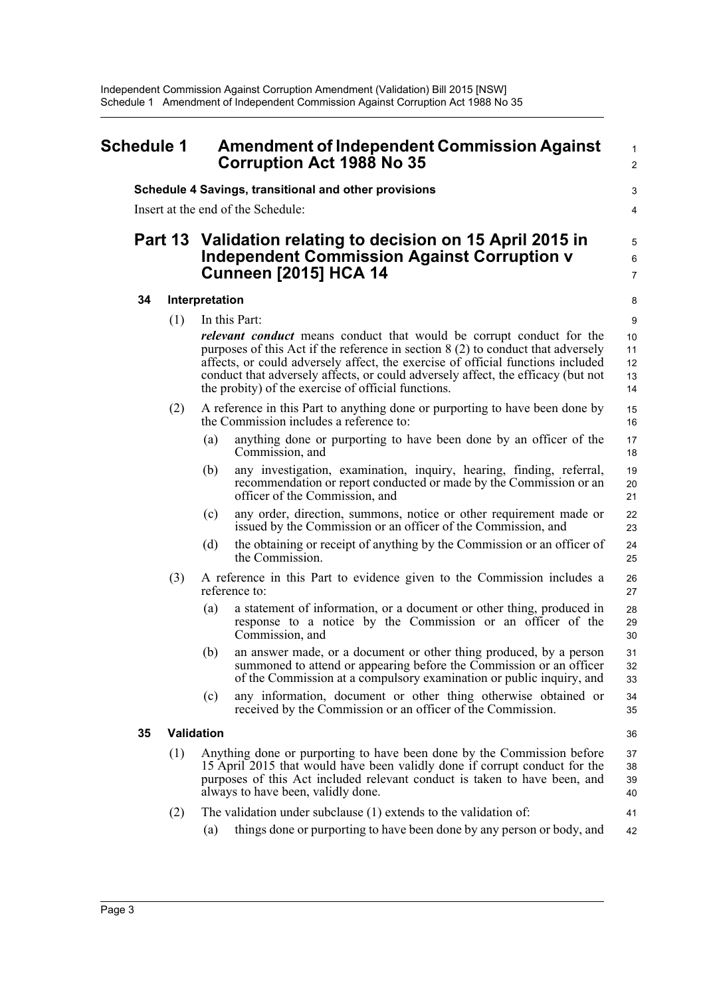<span id="page-5-0"></span>

| <b>Schedule 1</b> |    | <b>Amendment of Independent Commission Against</b><br><b>Corruption Act 1988 No 35</b> |                                                                                                                                                   | $\mathbf{1}$<br>$\overline{c}$                                                                                                                                                                                                                                                                                                                                                                 |                                        |  |
|-------------------|----|----------------------------------------------------------------------------------------|---------------------------------------------------------------------------------------------------------------------------------------------------|------------------------------------------------------------------------------------------------------------------------------------------------------------------------------------------------------------------------------------------------------------------------------------------------------------------------------------------------------------------------------------------------|----------------------------------------|--|
|                   |    |                                                                                        | Schedule 4 Savings, transitional and other provisions<br>Insert at the end of the Schedule:                                                       |                                                                                                                                                                                                                                                                                                                                                                                                | 3<br>4<br>5<br>$\,6$<br>$\overline{7}$ |  |
|                   |    |                                                                                        | Part 13 Validation relating to decision on 15 April 2015 in<br><b>Independent Commission Against Corruption v</b><br><b>Cunneen [2015] HCA 14</b> |                                                                                                                                                                                                                                                                                                                                                                                                |                                        |  |
|                   | 34 |                                                                                        | Interpretation                                                                                                                                    |                                                                                                                                                                                                                                                                                                                                                                                                | 8                                      |  |
|                   |    | (1)                                                                                    |                                                                                                                                                   | In this Part:                                                                                                                                                                                                                                                                                                                                                                                  | 9                                      |  |
|                   |    |                                                                                        |                                                                                                                                                   | <i>relevant conduct</i> means conduct that would be corrupt conduct for the<br>purposes of this Act if the reference in section $8(2)$ to conduct that adversely<br>affects, or could adversely affect, the exercise of official functions included<br>conduct that adversely affects, or could adversely affect, the efficacy (but not<br>the probity) of the exercise of official functions. | 10<br>11<br>12<br>13<br>14             |  |
|                   |    | (2)                                                                                    |                                                                                                                                                   | A reference in this Part to anything done or purporting to have been done by<br>the Commission includes a reference to:                                                                                                                                                                                                                                                                        | 15<br>16                               |  |
|                   |    |                                                                                        | (a)                                                                                                                                               | anything done or purporting to have been done by an officer of the<br>Commission, and                                                                                                                                                                                                                                                                                                          | 17<br>18                               |  |
|                   |    |                                                                                        | (b)                                                                                                                                               | any investigation, examination, inquiry, hearing, finding, referral,<br>recommendation or report conducted or made by the Commission or an<br>officer of the Commission, and                                                                                                                                                                                                                   | 19<br>20<br>21                         |  |
|                   |    |                                                                                        | (c)                                                                                                                                               | any order, direction, summons, notice or other requirement made or<br>issued by the Commission or an officer of the Commission, and                                                                                                                                                                                                                                                            | 22<br>23                               |  |
|                   |    |                                                                                        | (d)                                                                                                                                               | the obtaining or receipt of anything by the Commission or an officer of<br>the Commission.                                                                                                                                                                                                                                                                                                     | 24<br>25                               |  |
|                   |    | (3)                                                                                    |                                                                                                                                                   | A reference in this Part to evidence given to the Commission includes a<br>reference to:                                                                                                                                                                                                                                                                                                       | 26<br>27                               |  |
|                   |    |                                                                                        | (a)                                                                                                                                               | a statement of information, or a document or other thing, produced in<br>response to a notice by the Commission or an officer of the<br>Commission, and                                                                                                                                                                                                                                        | 28<br>29<br>30                         |  |
|                   |    |                                                                                        | (b)                                                                                                                                               | an answer made, or a document or other thing produced, by a person<br>summoned to attend or appearing before the Commission or an officer<br>of the Commission at a compulsory examination or public inquiry, and                                                                                                                                                                              | 31<br>32<br>33                         |  |
|                   |    |                                                                                        | (c)                                                                                                                                               | any information, document or other thing otherwise obtained or<br>received by the Commission or an officer of the Commission.                                                                                                                                                                                                                                                                  | 34<br>35                               |  |
|                   | 35 |                                                                                        | Validation                                                                                                                                        |                                                                                                                                                                                                                                                                                                                                                                                                | 36                                     |  |
|                   |    | (1)                                                                                    |                                                                                                                                                   | Anything done or purporting to have been done by the Commission before<br>15 April 2015 that would have been validly done if corrupt conduct for the<br>purposes of this Act included relevant conduct is taken to have been, and<br>always to have been, validly done.                                                                                                                        | 37<br>38<br>39<br>40                   |  |
|                   |    | (2)                                                                                    |                                                                                                                                                   | The validation under subclause (1) extends to the validation of:                                                                                                                                                                                                                                                                                                                               | 41                                     |  |
|                   |    |                                                                                        | (a)                                                                                                                                               | things done or purporting to have been done by any person or body, and                                                                                                                                                                                                                                                                                                                         | 42                                     |  |